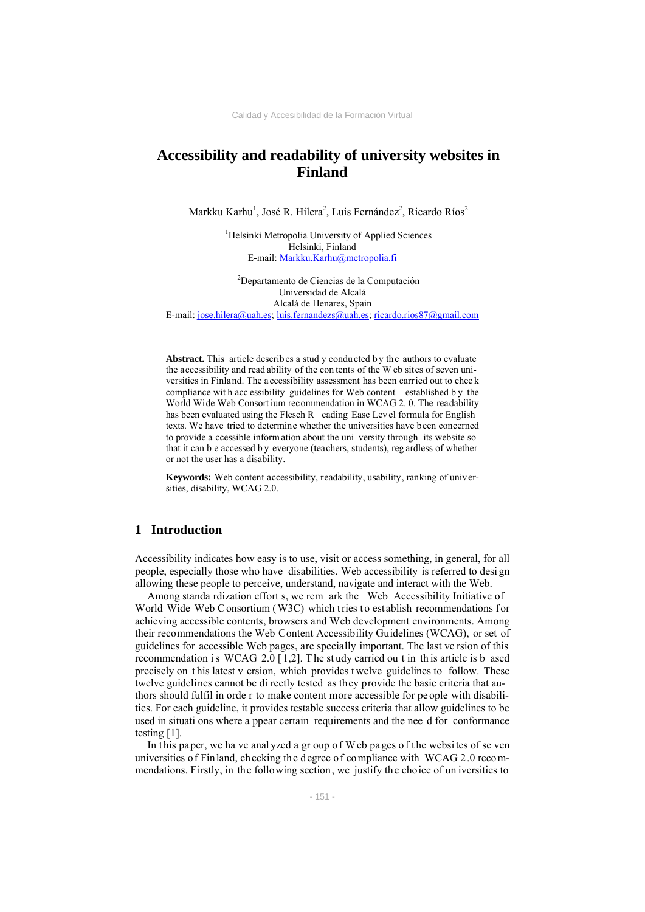# **Accessibility and readability of university websites in Finland**

Markku Karhu<sup>1</sup>, José R. Hilera<sup>2</sup>, Luis Fernández<sup>2</sup>, Ricardo Ríos<sup>2</sup>

<sup>1</sup>Helsinki Metropolia University of Applied Sciences Helsinki, Finland E-mail: Markku.Karhu@metropolia.fi

2 Departamento de Ciencias de la Computación Universidad de Alcalá Alcalá de Henares, Spain E-mail: jose.hilera@uah.es; luis.fernandezs@uah.es; ricardo.rios87@gmail.com

Abstract. This article describes a stud y conducted by the authors to evaluate the accessibility and read ability of the con tents of the W eb sites of seven universities in Finland. The accessibility assessment has been carried out to chec k compliance wit h acc essibility guidelines for Web content established b y the World Wide Web Consort ium recommendation in WCAG 2. 0. The readability has been evaluated using the Flesch R eading Ease Level formula for English texts. We have tried to determine whether the universities have been concerned to provide a ccessible inform ation about the uni versity through its website so that it can b e accessed b y everyone (teachers, students), reg ardless of whether or not the user has a disability.

**Keywords:** Web content accessibility, readability, usability, ranking of universities, disability, WCAG 2.0.

### **1 Introduction**

Accessibility indicates how easy is to use, visit or access something, in general, for all people, especially those who have disabilities. Web accessibility is referred to desi gn allowing these people to perceive, understand, navigate and interact with the Web.

Among standa rdization effort s, we rem ark the Web Accessibility Initiative of World Wide Web Consortium (W3C) which tries to establish recommendations for achieving accessible contents, browsers and Web development environments. Among their recommendations the Web Content Accessibility Guidelines (WCAG), or set of guidelines for accessible Web pages, are specially important. The last ve rsion of this recommendation is WCAG 2.0  $[1,2]$ . The study carried ou t in this article is b ased precisely on t his latest v ersion, which provides t welve guidelines to follow. These twelve guidelines cannot be di rectly tested as they provide the basic criteria that authors should fulfil in orde r to make content more accessible for pe ople with disabilities. For each guideline, it provides testable success criteria that allow guidelines to be used in situati ons where a ppear certain requirements and the nee d for conformance testing [1].

In this paper, we ha ve analyzed a gr oup of W eb pages of the websites of se ven universities of Finland, checking the degree of compliance with WCAG 2.0 recommendations. Firstly, in the following section, we justify the choice of un iversities to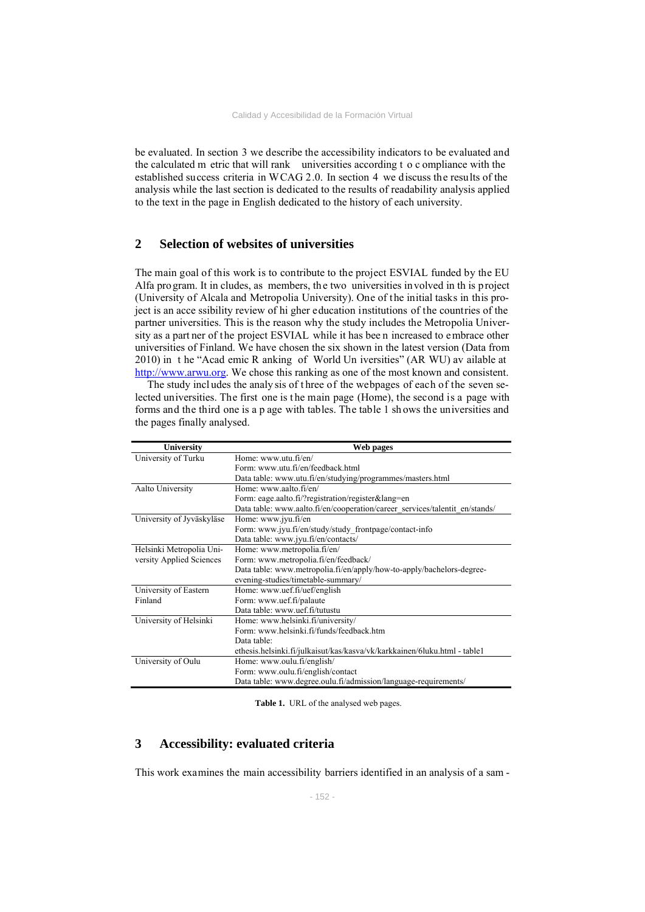be evaluated. In section 3 we describe the accessibility indicators to be evaluated and the calculated m etric that will rank universities according t o c ompliance with the established success criteria in WCAG 2.0. In section 4 we discuss the results of the analysis while the last section is dedicated to the results of readability analysis applied to the text in the page in English dedicated to the history of each university.

### **2 Selection of websites of universities**

The main goal of this work is to contribute to the project ESVIAL funded by the EU Alfa program. It in cludes, as members, the two universities involved in th is project (University of Alcala and Metropolia University). One of the initial tasks in this project is an acce ssibility review of hi gher education institutions of the countries of the partner universities. This is the reason why the study includes the Metropolia University as a part ner of the project ESVIAL while it has bee n increased to embrace other universities of Finland. We have chosen the six shown in the latest version (Data from 2010) in t he "Acad emic R anking of World Un iversities" (AR WU) av ailable at http://www.arwu.org. We chose this ranking as one of the most known and consistent.

The study incl udes the analy sis of t hree of the webpages of each of the seven selected universities. The first one is t he main page (Home), the second is a page with forms and the third one is a p age with tables. The table 1 sh ows the universities and the pages finally analysed.

| University                | Web pages                                                                   |  |  |
|---------------------------|-----------------------------------------------------------------------------|--|--|
| University of Turku       | Home: www.utu.fi/en/                                                        |  |  |
|                           | Form: www.utu.fi/en/feedback.html                                           |  |  |
|                           | Data table: www.utu.fi/en/studying/programmes/masters.html                  |  |  |
| Aalto University          | Home: www.aalto.fi/en/                                                      |  |  |
|                           | Form: eage.aalto.fi/?registration/register⟨=en                              |  |  |
|                           | Data table: www.aalto.fi/en/cooperation/career_services/talentit_en/stands/ |  |  |
| University of Jyväskyläse | Home: www.jyu.fi/en                                                         |  |  |
|                           | Form: www.jyu.fi/en/study/study frontpage/contact-info                      |  |  |
|                           | Data table: www.jyu.fi/en/contacts/                                         |  |  |
| Helsinki Metropolia Uni-  | Home: www.metropolia.fi/en/                                                 |  |  |
| versity Applied Sciences  | Form: www.metropolia.fi/en/feedback/                                        |  |  |
|                           | Data table: www.metropolia.fi/en/apply/how-to-apply/bachelors-degree-       |  |  |
|                           | evening-studies/timetable-summary/                                          |  |  |
| University of Eastern     | Home: www.uef.fi/uef/english                                                |  |  |
| Finland                   | Form: www.uef.fi/palaute                                                    |  |  |
|                           | Data table: www.uef.fi/tutustu                                              |  |  |
| University of Helsinki    | Home: www.helsinki.fi/university/                                           |  |  |
|                           | Form: www.helsinki.fi/funds/feedback.htm                                    |  |  |
|                           | Data table:                                                                 |  |  |
|                           | ethesis.helsinki.fi/julkaisut/kas/kasva/vk/karkkainen/6luku.html - table1   |  |  |
| University of Oulu        | Home: www.oulu.fi/english/                                                  |  |  |
|                           | Form: www.oulu.fi/english/contact                                           |  |  |
|                           | Data table: www.degree.oulu.fi/admission/language-requirements/             |  |  |

Table 1. URL of the analysed web pages.

### **3 Accessibility: evaluated criteria**

This work examines the main accessibility barriers identified in an analysis of a sam -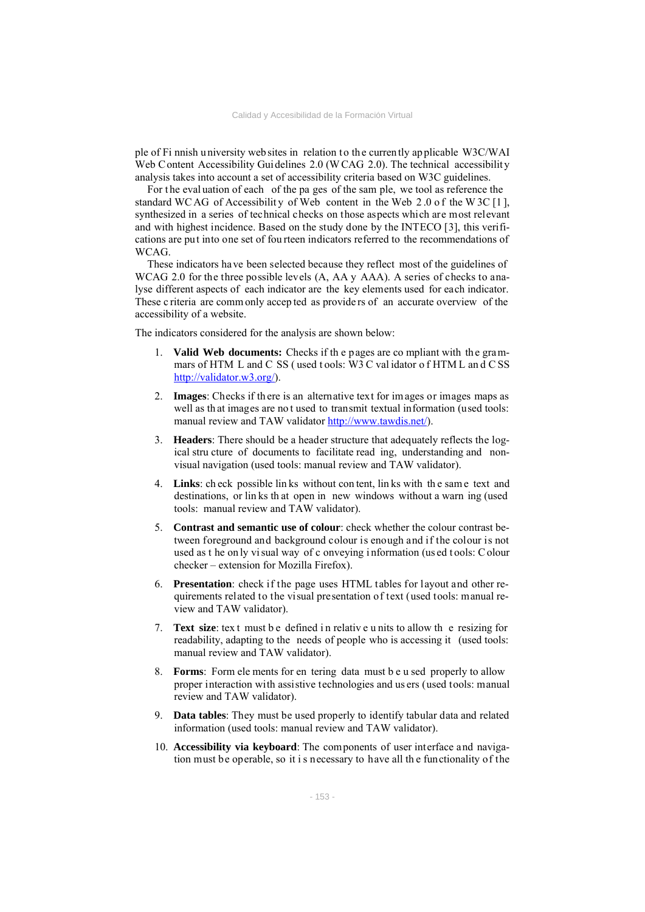ple of Fi nnish u niversity web sites in relation to th e curren tly ap plicable W3C/WAI Web Content Accessibility Guidelines 2.0 (WCAG 2.0). The technical accessibility analysis takes into account a set of accessibility criteria based on W3C guidelines.

For the evaluation of each of the pa ges of the sam ple, we tool as reference the standard WC AG of Accessibility of Web content in the Web  $2.0$  of the W 3C [1], synthesized in a series of technical checks on those aspects which are most relevant and with highest incidence. Based on the study done by the INTECO [3], this verifications are put into one set of fou rteen indicators referred to the recommendations of **WCAG** 

These indicators have been selected because they reflect most of the guidelines of WCAG 2.0 for the three possible levels (A, AA y AAA). A series of checks to analyse different aspects of each indicator are the key elements used for each indicator. These c riteria are comm only accep ted as provide rs of an accurate overview of the accessibility of a website.

The indicators considered for the analysis are shown below:

- 1. **Valid Web documents:** Checks if th e p ages are co mpliant with th e gra mmars of HTM L and C SS ( used t ools: W3 C val idator o f HTM L an d C SS http://validator.w3.org/).
- 2. **Images**: Checks if th ere is an alternative text for im ages or images maps as well as th at images are no t used to transmit textual information (used tools: manual review and TAW validator http://www.tawdis.net/).
- 3. **Headers**: There should be a header structure that adequately reflects the logical stru cture of documents to facilitate read ing, understanding and nonvisual navigation (used tools: manual review and TAW validator).
- 4. **Links**: ch eck possible lin ks without con tent, lin ks with th e sam e text and destinations, or lin ks th at open in new windows without a warn ing (used tools: manual review and TAW validator).
- 5. **Contrast and semantic use of colour**: check whether the colour contrast between foreground and background colour is enough and if the colour is not used as t he on ly vi sual way of c onveying i nformation (us ed t ools: C olour checker – extension for Mozilla Firefox).
- 6. **Presentation**: check if the page uses HTML tables for layout and other requirements related to the visual presentation of text (used tools: manual review and TAW validator).
- 7. **Text size**: tex t must b e defined i n relativ e u nits to allow th e resizing for readability, adapting to the needs of people who is accessing it (used tools: manual review and TAW validator).
- 8. **Forms**: Form ele ments for en tering data must b e u sed properly to allow proper interaction with assistive technologies and us ers (used tools: manual review and TAW validator).
- 9. **Data tables**: They must be used properly to identify tabular data and related information (used tools: manual review and TAW validator).
- 10. **Accessibility via keyboard**: The components of user interface and navigation must be operable, so it i s necessary to have all th e functionality of the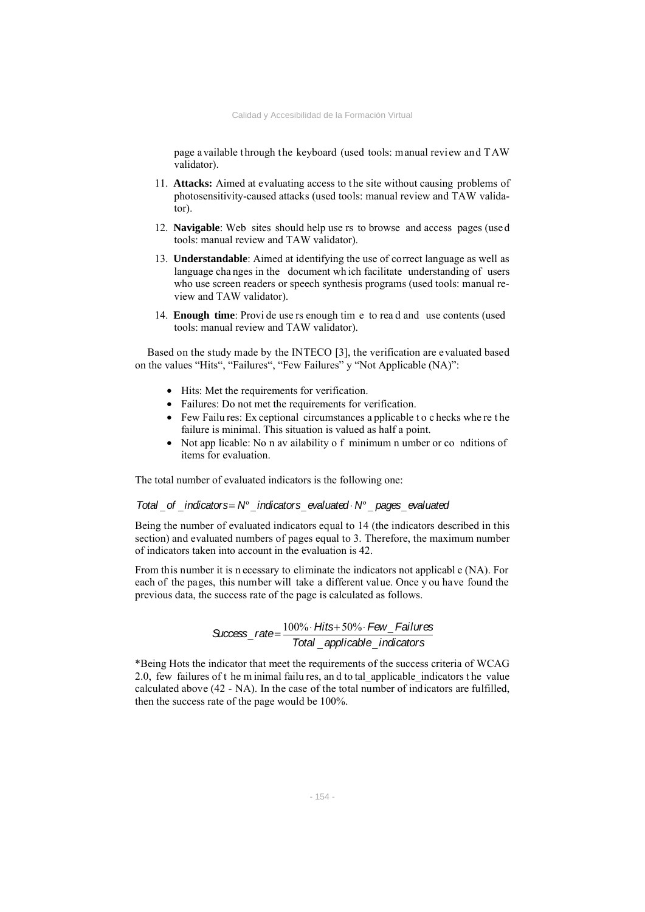page available through the keyboard (used tools: manual review and TAW validator).

- 11. **Attacks:** Aimed at evaluating access to the site without causing problems of photosensitivity-caused attacks (used tools: manual review and TAW validator).
- 12. **Navigable**: Web sites should help use rs to browse and access pages (use d tools: manual review and TAW validator).
- 13. **Understandable**: Aimed at identifying the use of correct language as well as language cha nges in the document wh ich facilitate understanding of users who use screen readers or speech synthesis programs (used tools: manual review and TAW validator).
- 14. **Enough time**: Provi de use rs enough tim e to rea d and use contents (used tools: manual review and TAW validator).

Based on the study made by the INTECO [3], the verification are evaluated based on the values "Hits", "Failures", "Few Failures" y "Not Applicable (NA)":

- Hits: Met the requirements for verification.
- Failures: Do not met the requirements for verification.
- Few Failu res: Ex ceptional circumstances a pplicable to c hecks where the failure is minimal. This situation is valued as half a point.
- Not app licable: No n av ailability o f minimum n umber or co nditions of items for evaluation.

The total number of evaluated indicators is the following one:

### *Total* \_*of* \_*indicators*= *N*º \_*indicators*\_*evaluated*⋅ *N*º \_ *pages*\_*evaluated*

Being the number of evaluated indicators equal to 14 (the indicators described in this section) and evaluated numbers of pages equal to 3. Therefore, the maximum number of indicators taken into account in the evaluation is 42.

From this number it is n ecessary to eliminate the indicators not applicabl e (NA). For each of the pages, this number will take a different value. Once y ou have found the previous data, the success rate of the page is calculated as follows.

*Success*\_ *rate*<sup>=</sup> 100%<sup>⋅</sup> *Hits*<sup>+</sup> 50%<sup>⋅</sup> *Few*\_ *Failures Total* \_ *applicable*\_*indicators*

\*Being Hots the indicator that meet the requirements of the success criteria of WCAG 2.0, few failures of t he m inimal failu res, an d to tal\_applicable\_indicators t he value calculated above (42 - NA). In the case of the total number of indicators are fulfilled, then the success rate of the page would be 100%.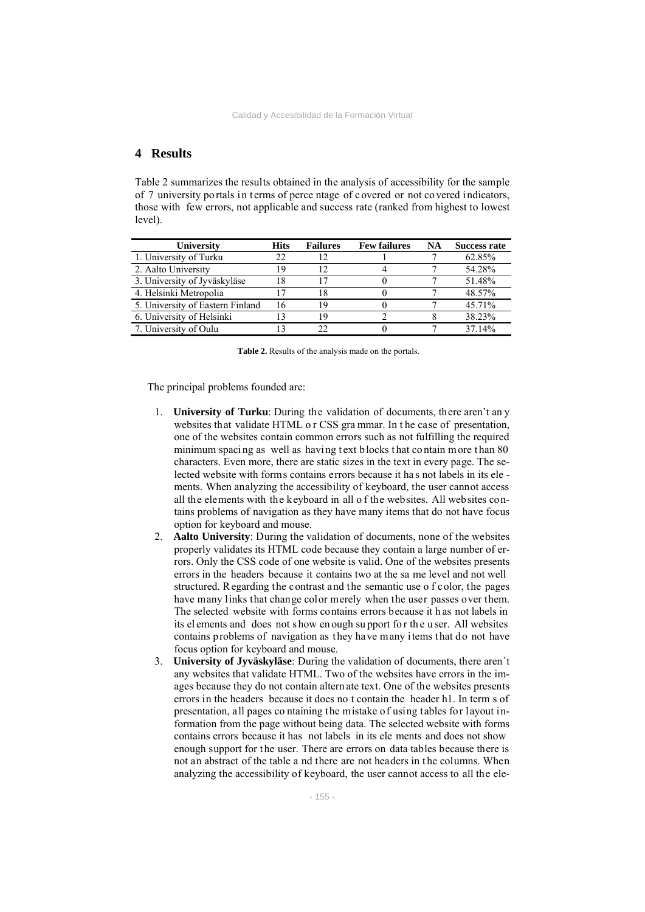## **4 Results**

Table 2 summarizes the results obtained in the analysis of accessibility for the sample of 7 university portals in terms of perce ntage of covered or not covered indicators, those with few errors, not applicable and success rate (ranked from highest to lowest level).

| University                       | <b>Hits</b> | <b>Failures</b> | <b>Few failures</b> | NA | <b>Success rate</b> |
|----------------------------------|-------------|-----------------|---------------------|----|---------------------|
| 1. University of Turku           | 22          |                 |                     |    | 62.85%              |
| 2. Aalto University              | 19          |                 |                     |    | 54.28%              |
| 3. University of Jyväskyläse     | 18          | 17              |                     |    | 51.48%              |
| 4. Helsinki Metropolia           |             | 18              |                     |    | 48.57%              |
| 5. University of Eastern Finland |             | 19              |                     |    | 45.71%              |
| 6. University of Helsinki        |             | 19              |                     |    | 38.23%              |
| 7. University of Oulu            |             | 22              |                     |    | 37.14%              |

**Table 2.** Results of the analysis made on the portals.

The principal problems founded are:

- 1. **University of Turku**: During the validation of documents, there aren't an y websites that validate HTML o r CSS gra mmar. In t he case of presentation, one of the websites contain common errors such as not fulfilling the required minimum spacing as well as having text blocks that contain more than 80 characters. Even more, there are static sizes in the text in every page. The selected website with forms contains errors because it ha s not labels in its ele ments. When analyzing the accessibility of keyboard, the user cannot access all the elements with the keyboard in all o f the websites. All websites contains problems of navigation as they have many items that do not have focus option for keyboard and mouse.
- 2. **Aalto University**: During the validation of documents, none of the websites properly validates its HTML code because they contain a large number of errors. Only the CSS code of one website is valid. One of the websites presents errors in the headers because it contains two at the sa me level and not well structured. Regarding the contrast and the semantic use o f color, the pages have many links that change color merely when the user passes over them. The selected website with forms contains errors because it h as not labels in its el ements and does not s how en ough su pport fo r th e u ser. All websites contains problems of navigation as they have many items that do not have focus option for keyboard and mouse.
- 3. **University of Jyväskyläse**: During the validation of documents, there aren`t any websites that validate HTML. Two of the websites have errors in the images because they do not contain altern ate text. One of the websites presents errors in the headers because it does no t contain the header h1. In term s of presentation, all pages co ntaining the mistake of using tables for layout information from the page without being data. The selected website with forms contains errors because it has not labels in its ele ments and does not show enough support for the user. There are errors on data tables because there is not an abstract of the table a nd there are not headers in t he columns. When analyzing the accessibility of keyboard, the user cannot access to all the ele-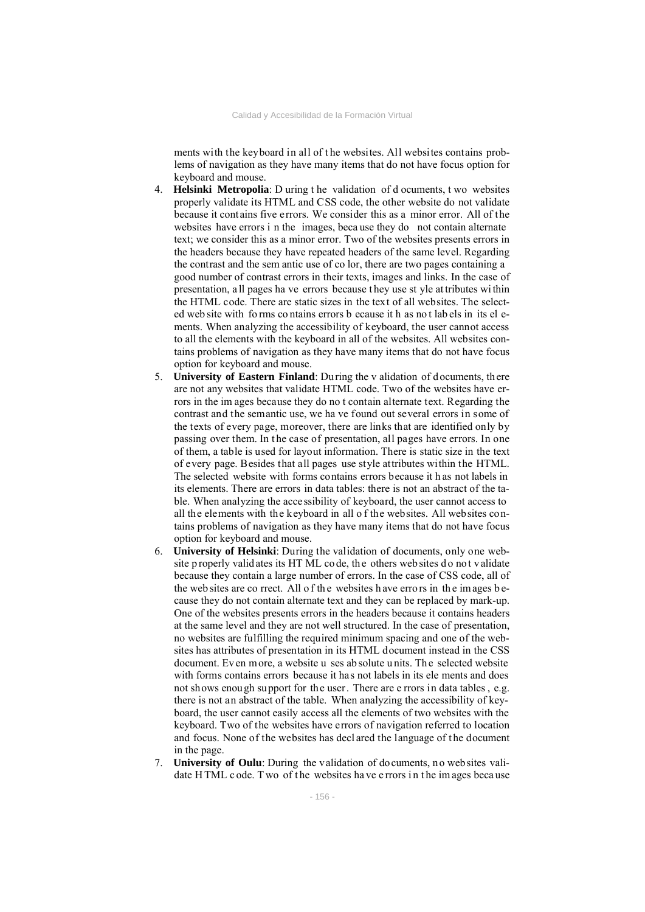ments with the keyboard in all of t he websites. All websites contains problems of navigation as they have many items that do not have focus option for keyboard and mouse.

- 4. **Helsinki Metropolia**: D uring t he validation of d ocuments, t wo websites properly validate its HTML and CSS code, the other website do not validate because it contains five errors. We consider this as a minor error. All of the websites have errors i n the images, beca use they do not contain alternate text; we consider this as a minor error. Two of the websites presents errors in the headers because they have repeated headers of the same level. Regarding the contrast and the sem antic use of co lor, there are two pages containing a good number of contrast errors in their texts, images and links. In the case of presentation, a ll pages ha ve errors because t hey use st yle at tributes wi thin the HTML code. There are static sizes in the text of all websites. The selected web site with fo rms co ntains errors b ecause it h as no t lab els in its el ements. When analyzing the accessibility of keyboard, the user cannot access to all the elements with the keyboard in all of the websites. All websites contains problems of navigation as they have many items that do not have focus option for keyboard and mouse.
- 5. **University of Eastern Finland**: Du ring the v alidation of d ocuments, th ere are not any websites that validate HTML code. Two of the websites have errors in the im ages because they do no t contain alternate text. Regarding the contrast and the semantic use, we ha ve found out several errors in some of the texts of every page, moreover, there are links that are identified only by passing over them. In the case of presentation, all pages have errors. In one of them, a table is used for layout information. There is static size in the text of every page. Besides that all pages use style attributes within the HTML. The selected website with forms contains errors because it h as not labels in its elements. There are errors in data tables: there is not an abstract of the table. When analyzing the accessibility of keyboard, the user cannot access to all the elements with the keyboard in all o f the websites. All websites contains problems of navigation as they have many items that do not have focus option for keyboard and mouse.
- 6. **University of Helsinki**: During the validation of documents, only one website p roperly validates its HT ML co de, the others web sites do not v alidate because they contain a large number of errors. In the case of CSS code, all of the web sites are co rrect. All of the websites have errors in the images because they do not contain alternate text and they can be replaced by mark-up. One of the websites presents errors in the headers because it contains headers at the same level and they are not well structured. In the case of presentation, no websites are fulfilling the required minimum spacing and one of the websites has attributes of presentation in its HTML document instead in the CSS document. Ev en more, a website u ses ab solute u nits. Th e selected website with forms contains errors because it has not labels in its ele ments and does not shows enough support for the user. There are e rrors in data tables , e.g. there is not an abstract of the table. When analyzing the accessibility of keyboard, the user cannot easily access all the elements of two websites with the keyboard. Two of the websites have errors of navigation referred to location and focus. None of the websites has decl ared the language of t he document in the page.
- 7. **University of Oulu**: During the validation of documents, no websites validate H TML c ode. Two of the websites have e rrors in the images because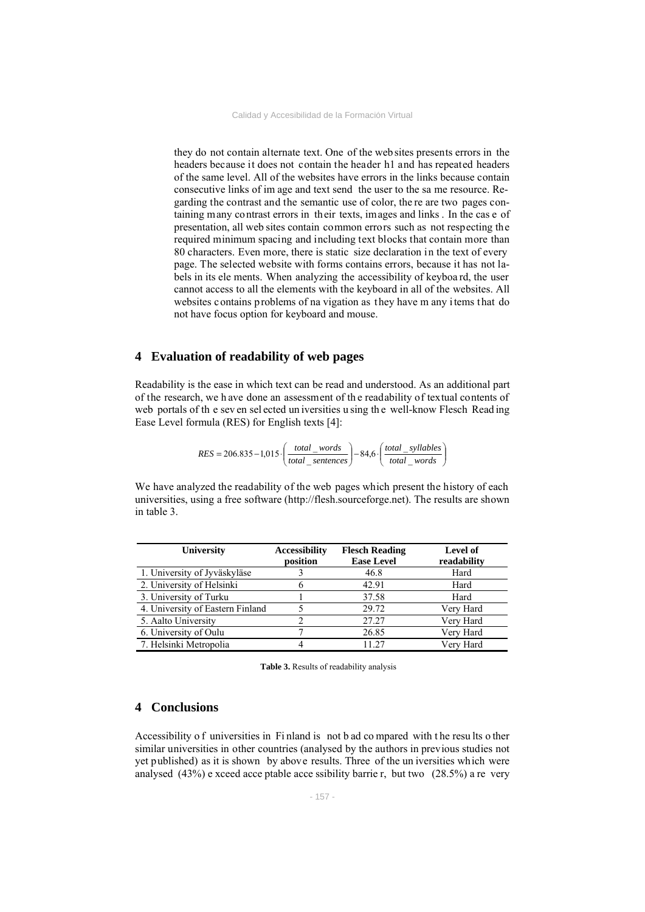they do not contain alternate text. One of the web sites presents errors in the headers because it does not contain the header h1 and has repeated headers of the same level. All of the websites have errors in the links because contain consecutive links of im age and text send the user to the sa me resource. Regarding the contrast and the semantic use of color, the re are two pages containing many contrast errors in their texts, images and links . In the cas e of presentation, all web sites contain common errors such as not respecting the required minimum spacing and including text blocks that contain more than 80 characters. Even more, there is static size declaration in the text of every page. The selected website with forms contains errors, because it has not labels in its ele ments. When analyzing the accessibility of keyboa rd, the user cannot access to all the elements with the keyboard in all of the websites. All websites contains problems of na vigation as they have m any items that do not have focus option for keyboard and mouse.

### **4 Evaluation of readability of web pages**

Readability is the ease in which text can be read and understood. As an additional part of the research, we h ave done an assessment of th e readability of textual contents of web portals of the seven selected un iversities using the well-know Flesch Reading Ease Level formula (RES) for English texts [4]:

$$
RES = 206.835 - 1,015 \cdot \left(\frac{total\_words}{total\_sentences}\right) - 84,6 \cdot \left(\frac{total\_syllables}{total\_words}\right)
$$

We have analyzed the readability of the web pages which present the history of each universities, using a free software (http://flesh.sourceforge.net). The results are shown in table 3.

| University                       | <b>Accessibility</b><br>position | <b>Flesch Reading</b><br><b>Ease Level</b> | Level of<br>readability |
|----------------------------------|----------------------------------|--------------------------------------------|-------------------------|
| 1. University of Jyväskyläse     |                                  | 46.8                                       | Hard                    |
| 2. University of Helsinki        |                                  | 42.91                                      | Hard                    |
| 3. University of Turku           |                                  | 37.58                                      | Hard                    |
| 4. University of Eastern Finland |                                  | 29.72                                      | Very Hard               |
| 5. Aalto University              |                                  | 27.27                                      | Very Hard               |
| 6. University of Oulu            |                                  | 26.85                                      | Very Hard               |
| 7. Helsinki Metropolia           |                                  | 11 27                                      | Very Hard               |

**Table 3.** Results of readability analysis

### **4 Conclusions**

Accessibility o f universities in Fi nland is not b ad co mpared with t he resu lts o ther similar universities in other countries (analysed by the authors in previous studies not yet published) as it is shown by above results. Three of the un iversities which were analysed (43%) e xceed acce ptable acce ssibility barrie r, but two (28.5%) a re very